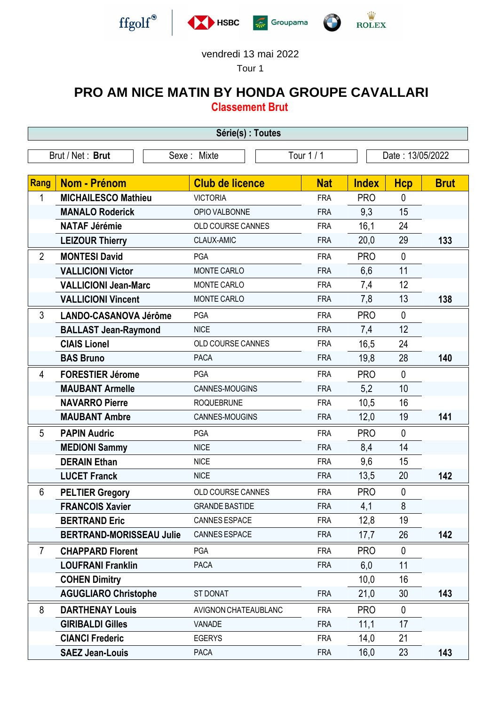





## vendredi 13 mai 2022

Tour 1

## **PRO AM NICE MATIN BY HONDA GROUPE CAVALLARI**

**Classement Brut**

| Série(s) : Toutes |                                                                   |                          |            |              |              |             |
|-------------------|-------------------------------------------------------------------|--------------------------|------------|--------------|--------------|-------------|
|                   | Tour 1 / 1<br>Brut / Net: Brut<br>Date: 13/05/2022<br>Sexe: Mixte |                          |            |              |              |             |
|                   |                                                                   |                          |            |              |              |             |
| <b>Rang</b>       | <b>Nom - Prénom</b>                                               | <b>Club de licence</b>   | <b>Nat</b> | <b>Index</b> | <b>Hcp</b>   | <b>Brut</b> |
| 1                 | <b>MICHAILESCO Mathieu</b>                                        | <b>VICTORIA</b>          | <b>FRA</b> | <b>PRO</b>   | $\mathbf{0}$ |             |
|                   | <b>MANALO Roderick</b>                                            | OPIO VALBONNE            | <b>FRA</b> | 9,3          | 15           |             |
|                   | <b>NATAF Jérémie</b>                                              | OLD COURSE CANNES        | <b>FRA</b> | 16,1         | 24           |             |
|                   | <b>LEIZOUR Thierry</b>                                            | CLAUX-AMIC               | <b>FRA</b> | 20,0         | 29           | 133         |
| $\overline{2}$    | <b>MONTESI David</b>                                              | <b>PGA</b>               | <b>FRA</b> | <b>PRO</b>   | $\mathbf{0}$ |             |
|                   | <b>VALLICIONI Victor</b>                                          | <b>MONTE CARLO</b>       | <b>FRA</b> | 6,6          | 11           |             |
|                   | <b>VALLICIONI Jean-Marc</b>                                       | <b>MONTE CARLO</b>       | <b>FRA</b> | 7,4          | 12           |             |
|                   | <b>VALLICIONI Vincent</b>                                         | <b>MONTE CARLO</b>       | <b>FRA</b> | 7,8          | 13           | 138         |
| 3                 | <b>LANDO-CASANOVA Jérôme</b>                                      | <b>PGA</b>               | <b>FRA</b> | <b>PRO</b>   | $\mathbf{0}$ |             |
|                   | <b>BALLAST Jean-Raymond</b>                                       | <b>NICE</b>              | <b>FRA</b> | 7,4          | 12           |             |
|                   | <b>CIAIS Lionel</b>                                               | <b>OLD COURSE CANNES</b> | <b>FRA</b> | 16,5         | 24           |             |
|                   | <b>BAS Bruno</b>                                                  | <b>PACA</b>              | <b>FRA</b> | 19,8         | 28           | 140         |
| 4                 | <b>FORESTIER Jérome</b>                                           | PGA                      | <b>FRA</b> | <b>PRO</b>   | $\mathbf{0}$ |             |
|                   | <b>MAUBANT Armelle</b>                                            | CANNES-MOUGINS           | <b>FRA</b> | 5,2          | 10           |             |
|                   | <b>NAVARRO Pierre</b>                                             | <b>ROQUEBRUNE</b>        | <b>FRA</b> | 10,5         | 16           |             |
|                   | <b>MAUBANT Ambre</b>                                              | CANNES-MOUGINS           | <b>FRA</b> | 12,0         | 19           | 141         |
| 5                 | <b>PAPIN Audric</b>                                               | PGA                      | <b>FRA</b> | <b>PRO</b>   | $\mathbf{0}$ |             |
|                   | <b>MEDIONI Sammy</b>                                              | <b>NICE</b>              | <b>FRA</b> | 8,4          | 14           |             |
|                   | <b>DERAIN Ethan</b>                                               | <b>NICE</b>              | <b>FRA</b> | 9,6          | 15           |             |
|                   | <b>LUCET Franck</b>                                               | <b>NICE</b>              | <b>FRA</b> | 13,5         | 20           | 142         |
| 6                 | <b>PELTIER Gregory</b>                                            | OLD COURSE CANNES        | <b>FRA</b> | <b>PRO</b>   | $\mathbf{0}$ |             |
|                   | <b>FRANCOIS Xavier</b>                                            | <b>GRANDE BASTIDE</b>    | <b>FRA</b> | 4,1          | 8            |             |
|                   | <b>BERTRAND Eric</b>                                              | CANNES ESPACE            | <b>FRA</b> | 12,8         | 19           |             |
|                   | <b>BERTRAND-MORISSEAU Julie</b>                                   | CANNES ESPACE            | <b>FRA</b> | 17,7         | 26           | 142         |
| 7                 | <b>CHAPPARD Florent</b>                                           | PGA                      | <b>FRA</b> | <b>PRO</b>   | $\mathbf{0}$ |             |
|                   | <b>LOUFRANI Franklin</b>                                          | <b>PACA</b>              | <b>FRA</b> | 6,0          | 11           |             |
|                   | <b>COHEN Dimitry</b>                                              |                          |            | 10,0         | 16           |             |
|                   | <b>AGUGLIARO Christophe</b>                                       | ST DONAT                 | <b>FRA</b> | 21,0         | 30           | 143         |
| 8                 | <b>DARTHENAY Louis</b>                                            | AVIGNON CHATEAUBLANC     | <b>FRA</b> | <b>PRO</b>   | $\mathbf{0}$ |             |
|                   | <b>GIRIBALDI Gilles</b>                                           | VANADE                   | <b>FRA</b> | 11,1         | 17           |             |
|                   | <b>CIANCI Frederic</b>                                            | <b>EGERYS</b>            | <b>FRA</b> | 14,0         | 21           |             |
|                   | <b>SAEZ Jean-Louis</b>                                            | <b>PACA</b>              | <b>FRA</b> | 16,0         | 23           | 143         |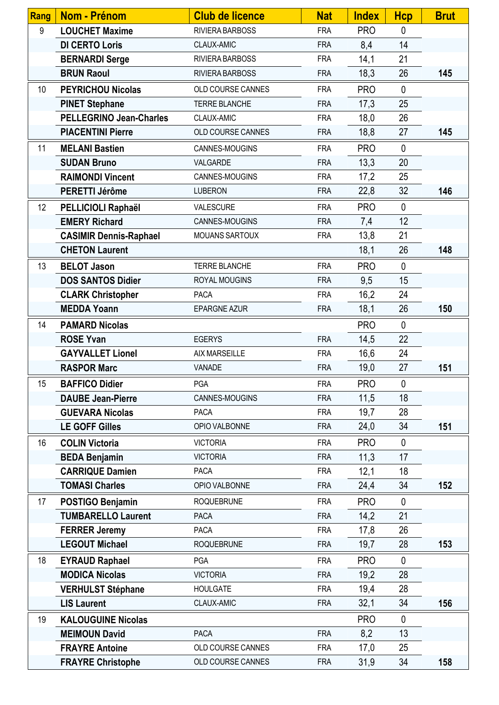| <b>Rang</b>     | <b>Nom - Prénom</b>            | <b>Club de licence</b>   | <b>Nat</b> | <b>Index</b> | <b>Hcp</b>   | <b>Brut</b> |
|-----------------|--------------------------------|--------------------------|------------|--------------|--------------|-------------|
| 9               | <b>LOUCHET Maxime</b>          | RIVIERA BARBOSS          | <b>FRA</b> | <b>PRO</b>   | $\mathbf{0}$ |             |
|                 | <b>DI CERTO Loris</b>          | CLAUX-AMIC               | <b>FRA</b> | 8,4          | 14           |             |
|                 | <b>BERNARDI Serge</b>          | RIVIERA BARBOSS          | <b>FRA</b> | 14,1         | 21           |             |
|                 | <b>BRUN Raoul</b>              | RIVIERA BARBOSS          | <b>FRA</b> | 18,3         | 26           | 145         |
| 10 <sup>1</sup> | <b>PEYRICHOU Nicolas</b>       | OLD COURSE CANNES        | <b>FRA</b> | <b>PRO</b>   | $\mathbf{0}$ |             |
|                 | <b>PINET Stephane</b>          | TERRE BLANCHE            | <b>FRA</b> | 17,3         | 25           |             |
|                 | <b>PELLEGRINO Jean-Charles</b> | CLAUX-AMIC               | <b>FRA</b> | 18,0         | 26           |             |
|                 | <b>PIACENTINI Pierre</b>       | OLD COURSE CANNES        | <b>FRA</b> | 18,8         | 27           | 145         |
| 11              | <b>MELANI Bastien</b>          | CANNES-MOUGINS           | <b>FRA</b> | <b>PRO</b>   | $\mathbf{0}$ |             |
|                 | <b>SUDAN Bruno</b>             | VALGARDE                 | <b>FRA</b> | 13,3         | 20           |             |
|                 | <b>RAIMONDI Vincent</b>        | CANNES-MOUGINS           | <b>FRA</b> | 17,2         | 25           |             |
|                 | PERETTI Jérôme                 | <b>LUBERON</b>           | <b>FRA</b> | 22,8         | 32           | 146         |
| 12              | PELLICIOLI Raphaël             | VALESCURE                | <b>FRA</b> | <b>PRO</b>   | $\mathbf{0}$ |             |
|                 | <b>EMERY Richard</b>           | CANNES-MOUGINS           | <b>FRA</b> | 7,4          | 12           |             |
|                 | <b>CASIMIR Dennis-Raphael</b>  | MOUANS SARTOUX           | <b>FRA</b> | 13,8         | 21           |             |
|                 | <b>CHETON Laurent</b>          |                          |            | 18,1         | 26           | 148         |
| 13              | <b>BELOT Jason</b>             | TERRE BLANCHE            | <b>FRA</b> | <b>PRO</b>   | $\mathbf{0}$ |             |
|                 | <b>DOS SANTOS Didier</b>       | ROYAL MOUGINS            | <b>FRA</b> | 9,5          | 15           |             |
|                 | <b>CLARK Christopher</b>       | <b>PACA</b>              | <b>FRA</b> | 16,2         | 24           |             |
|                 | <b>MEDDA Yoann</b>             | <b>EPARGNE AZUR</b>      | <b>FRA</b> | 18,1         | 26           | 150         |
| 14              | <b>PAMARD Nicolas</b>          |                          |            | <b>PRO</b>   | $\mathbf 0$  |             |
|                 | <b>ROSE Yvan</b>               | <b>EGERYS</b>            | <b>FRA</b> | 14,5         | 22           |             |
|                 | <b>GAYVALLET Lionel</b>        | AIX MARSEILLE            | <b>FRA</b> | 16,6         | 24           |             |
|                 | <b>RASPOR Marc</b>             | VANADE                   | <b>FRA</b> | 19,0         | 27           | 151         |
| 15              | <b>BAFFICO Didier</b>          | PGA                      | <b>FRA</b> | <b>PRO</b>   | $\mathbf 0$  |             |
|                 | <b>DAUBE Jean-Pierre</b>       | CANNES-MOUGINS           | <b>FRA</b> | 11,5         | 18           |             |
|                 | <b>GUEVARA Nicolas</b>         | <b>PACA</b>              | <b>FRA</b> | 19,7         | 28           |             |
|                 | <b>LE GOFF Gilles</b>          | OPIO VALBONNE            | <b>FRA</b> | 24,0         | 34           | 151         |
| 16              | <b>COLIN Victoria</b>          | <b>VICTORIA</b>          | <b>FRA</b> | <b>PRO</b>   | $\mathbf{0}$ |             |
|                 | <b>BEDA Benjamin</b>           | <b>VICTORIA</b>          | <b>FRA</b> | 11,3         | 17           |             |
|                 | <b>CARRIQUE Damien</b>         | <b>PACA</b>              | <b>FRA</b> | 12,1         | 18           |             |
|                 | <b>TOMASI Charles</b>          | OPIO VALBONNE            | <b>FRA</b> | 24,4         | 34           | 152         |
| 17              | POSTIGO Benjamin               | <b>ROQUEBRUNE</b>        | <b>FRA</b> | <b>PRO</b>   | $\mathbf{0}$ |             |
|                 | <b>TUMBARELLO Laurent</b>      | <b>PACA</b>              | <b>FRA</b> | 14,2         | 21           |             |
|                 | <b>FERRER Jeremy</b>           | <b>PACA</b>              | <b>FRA</b> | 17,8         | 26           |             |
|                 | <b>LEGOUT Michael</b>          | <b>ROQUEBRUNE</b>        | <b>FRA</b> | 19,7         | 28           | 153         |
| 18              | <b>EYRAUD Raphael</b>          | <b>PGA</b>               | <b>FRA</b> | <b>PRO</b>   | $\mathbf{0}$ |             |
|                 | <b>MODICA Nicolas</b>          | <b>VICTORIA</b>          | <b>FRA</b> | 19,2         | 28           |             |
|                 | <b>VERHULST Stéphane</b>       | <b>HOULGATE</b>          | <b>FRA</b> | 19,4         | 28           |             |
|                 | <b>LIS Laurent</b>             | CLAUX-AMIC               | <b>FRA</b> | 32,1         | 34           | 156         |
| 19              | <b>KALOUGUINE Nicolas</b>      |                          |            | <b>PRO</b>   | $\mathbf{0}$ |             |
|                 | <b>MEIMOUN David</b>           | <b>PACA</b>              | <b>FRA</b> | 8,2          | 13           |             |
|                 | <b>FRAYRE Antoine</b>          | OLD COURSE CANNES        | <b>FRA</b> | 17,0         | 25           |             |
|                 | <b>FRAYRE Christophe</b>       | <b>OLD COURSE CANNES</b> | <b>FRA</b> | 31,9         | 34           | 158         |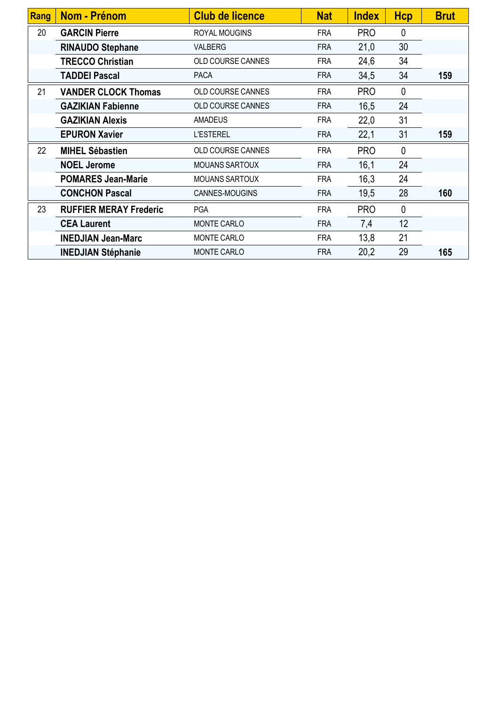| Rang | <b>Nom - Prénom</b>           | <b>Club de licence</b>   | <b>Nat</b> | <b>Index</b> | <b>Hcp</b>   | <b>Brut</b> |
|------|-------------------------------|--------------------------|------------|--------------|--------------|-------------|
| 20   | <b>GARCIN Pierre</b>          | ROYAL MOUGINS            | <b>FRA</b> | <b>PRO</b>   | 0            |             |
|      | <b>RINAUDO Stephane</b>       | <b>VALBERG</b>           | <b>FRA</b> | 21,0         | 30           |             |
|      | <b>TRECCO Christian</b>       | OLD COURSE CANNES        | <b>FRA</b> | 24,6         | 34           |             |
|      | <b>TADDEI Pascal</b>          | <b>PACA</b>              | <b>FRA</b> | 34,5         | 34           | 159         |
| 21   | <b>VANDER CLOCK Thomas</b>    | OLD COURSE CANNES        | <b>FRA</b> | <b>PRO</b>   | $\mathbf{0}$ |             |
|      | <b>GAZIKIAN Fabienne</b>      | OLD COURSE CANNES        | <b>FRA</b> | 16,5         | 24           |             |
|      | <b>GAZIKIAN Alexis</b>        | <b>AMADEUS</b>           | <b>FRA</b> | 22,0         | 31           |             |
|      | <b>EPURON Xavier</b>          | <b>L'ESTEREL</b>         | <b>FRA</b> | 22,1         | 31           | 159         |
| 22   | <b>MIHEL Sébastien</b>        | <b>OLD COURSE CANNES</b> | <b>FRA</b> | <b>PRO</b>   | $\mathbf 0$  |             |
|      | <b>NOEL Jerome</b>            | <b>MOUANS SARTOUX</b>    | <b>FRA</b> | 16,1         | 24           |             |
|      | <b>POMARES Jean-Marie</b>     | <b>MOUANS SARTOUX</b>    | <b>FRA</b> | 16,3         | 24           |             |
|      | <b>CONCHON Pascal</b>         | CANNES-MOUGINS           | <b>FRA</b> | 19,5         | 28           | 160         |
| 23   | <b>RUFFIER MERAY Frederic</b> | <b>PGA</b>               | <b>FRA</b> | <b>PRO</b>   | $\mathbf{0}$ |             |
|      | <b>CEA Laurent</b>            | <b>MONTE CARLO</b>       | <b>FRA</b> | 7,4          | 12           |             |
|      | <b>INEDJIAN Jean-Marc</b>     | <b>MONTE CARLO</b>       | <b>FRA</b> | 13,8         | 21           |             |
|      | <b>INEDJIAN Stéphanie</b>     | <b>MONTE CARLO</b>       | <b>FRA</b> | 20,2         | 29           | 165         |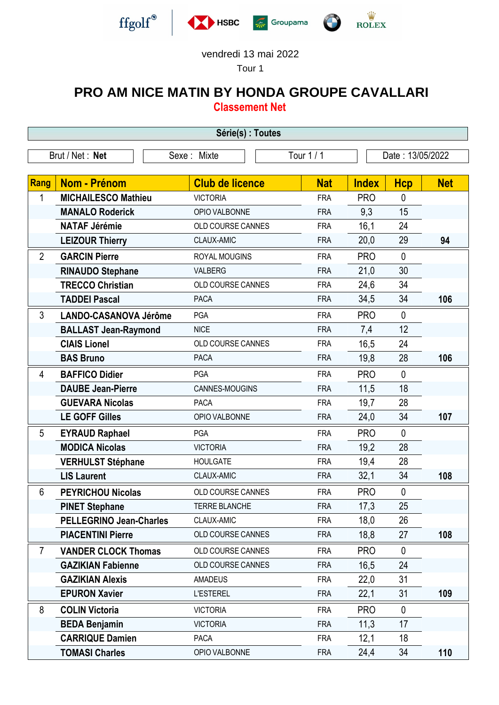



## vendredi 13 mai 2022

Tour 1

## **PRO AM NICE MATIN BY HONDA GROUPE CAVALLARI Classement Net**

**Série(s) : Toutes** Brut / Net : **Net** Sexe : Mixte Tour 1 / 1 Date : 13/05/2022 **Rang Nom - Prénom Club de licence Nat Index Hcp Net** 1 **MICHAILESCO Mathieu** VICTORIA FRA PRO 0 **MANALO Roderick** OPIO VALBONNE FRA 9,3 15 **NATAF Jérémie OLD COURSE CANNES** FRA 16.1 24 **LEIZOUR Thierry** CLAUX-AMIC FRA 20,0 29 **94** - 2 **GARCIN Pierre** ROYAL MOUGINS FRA PRO 0 **RINAUDO Stephane** VALBERG FRA 21,0 30 **TRECCO Christian** OLD COURSE CANNES FRA 24,6 34 **TADDEI Pascal** PACA FRA 34,5 34 **106** 3 **LANDO-CASANOVA Jérôme** PGA FRA PRO 0 **BALLAST Jean-Raymond** NICE FRA 7,4 12 **CIAIS Lionel CIAIS Lionel OLD COURSE CANNES** FRA 16.5 24 **BAS Bruno** PACA FRA 19,8 28 **106** - 4 **BAFFICO Didier** PGA FRA PRO 0 **DAUBE Jean-Pierre** CANNES-MOUGINS FRA 11,5 18 **GUEVARA Nicolas** PACA FRA 19,7 28 **LE GOFF Gilles** OPIO VALBONNE FRA 24,0 34 **107** 5 **EYRAUD Raphael** PGA FRA PRO 0 **MODICA Nicolas VICTORIA VICTORIA FRA** 19,2 28 **VERHULST Stéphane** HOULGATE FRA 19,4 28 **LIS Laurent** CLAUX-AMIC FRA 32,1 34 **108** - 6 **PEYRICHOU Nicolas** OLD COURSE CANNES FRA PRO 0 **PINET Stephane** TERRE BLANCHE FRA 17,3 25 **PELLEGRINO Jean-Charles** CLAUX-AMIC **FRA** 18.0 26 **PIACENTINI Pierre OLD COURSE CANNES** FRA 18,8 27 108 7 **VANDER CLOCK Thomas** OLD COURSE CANNES FRA PRO 0 **GAZIKIAN Fabienne OLD COURSE CANNES** FRA 16.5 24 **GAZIKIAN Alexis** AMADEUS FRA 22,0 31 **EPURON Xavier** L'ESTEREL FRA 22,1 31 **109** - 8 **COLIN Victoria COLIN VICTORIA COLIN VICTORIA FRA PRO** 0 **BEDA Benjamin VICTORIA FRA** 11,3 17 **CARRIQUE Damien** PACA FRA 12,1 18 **TOMASI Charles** OPIO VALBONNE FRA 24,4 34 **110**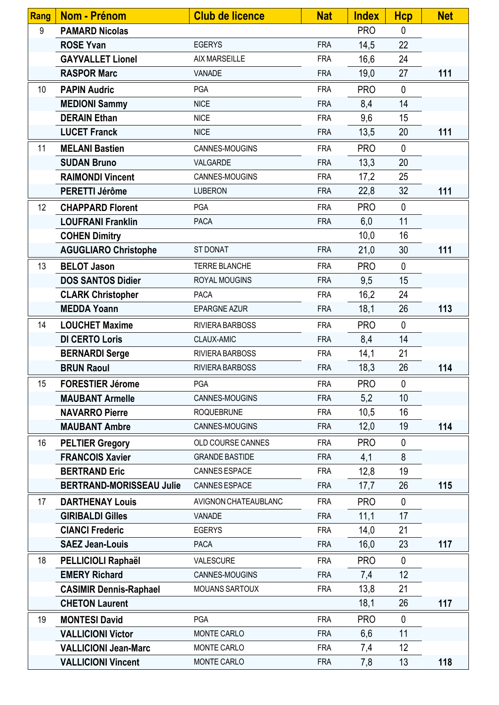| <b>Rang</b> | Nom - Prénom                    | <b>Club de licence</b> | <b>Nat</b> | <b>Index</b> | <b>Hcp</b>   | <b>Net</b> |
|-------------|---------------------------------|------------------------|------------|--------------|--------------|------------|
| 9           | <b>PAMARD Nicolas</b>           |                        |            | <b>PRO</b>   | $\mathbf{0}$ |            |
|             | <b>ROSE Yvan</b>                | <b>EGERYS</b>          | <b>FRA</b> | 14,5         | 22           |            |
|             | <b>GAYVALLET Lionel</b>         | <b>AIX MARSEILLE</b>   | <b>FRA</b> | 16,6         | 24           |            |
|             | <b>RASPOR Marc</b>              | VANADE                 | <b>FRA</b> | 19,0         | 27           | 111        |
| 10          | <b>PAPIN Audric</b>             | PGA                    | <b>FRA</b> | <b>PRO</b>   | $\mathbf{0}$ |            |
|             | <b>MEDIONI Sammy</b>            | <b>NICE</b>            | <b>FRA</b> | 8,4          | 14           |            |
|             | <b>DERAIN Ethan</b>             | <b>NICE</b>            | <b>FRA</b> | 9,6          | 15           |            |
|             | <b>LUCET Franck</b>             | <b>NICE</b>            | <b>FRA</b> | 13,5         | 20           | 111        |
| 11          | <b>MELANI Bastien</b>           | CANNES-MOUGINS         | <b>FRA</b> | <b>PRO</b>   | $\mathbf{0}$ |            |
|             | <b>SUDAN Bruno</b>              | VALGARDE               | <b>FRA</b> | 13,3         | 20           |            |
|             | <b>RAIMONDI Vincent</b>         | CANNES-MOUGINS         | <b>FRA</b> | 17,2         | 25           |            |
|             | PERETTI Jérôme                  | <b>LUBERON</b>         | <b>FRA</b> | 22,8         | 32           | 111        |
| 12          | <b>CHAPPARD Florent</b>         | PGA                    | <b>FRA</b> | <b>PRO</b>   | $\mathbf{0}$ |            |
|             | <b>LOUFRANI Franklin</b>        | <b>PACA</b>            | <b>FRA</b> | 6,0          | 11           |            |
|             | <b>COHEN Dimitry</b>            |                        |            | 10,0         | 16           |            |
|             | <b>AGUGLIARO Christophe</b>     | <b>ST DONAT</b>        | <b>FRA</b> | 21,0         | 30           | 111        |
| 13          | <b>BELOT Jason</b>              | <b>TERRE BLANCHE</b>   | <b>FRA</b> | <b>PRO</b>   | $\mathbf{0}$ |            |
|             | <b>DOS SANTOS Didier</b>        | ROYAL MOUGINS          | <b>FRA</b> | 9,5          | 15           |            |
|             | <b>CLARK Christopher</b>        | PACA                   | <b>FRA</b> | 16,2         | 24           |            |
|             | <b>MEDDA Yoann</b>              | <b>EPARGNE AZUR</b>    | <b>FRA</b> | 18,1         | 26           | 113        |
| 14          | <b>LOUCHET Maxime</b>           | RIVIERA BARBOSS        | <b>FRA</b> | <b>PRO</b>   | $\mathbf 0$  |            |
|             | <b>DI CERTO Loris</b>           | CLAUX-AMIC             | <b>FRA</b> | 8,4          | 14           |            |
|             | <b>BERNARDI Serge</b>           | RIVIERA BARBOSS        | <b>FRA</b> | 14,1         | 21           |            |
|             | <b>BRUN Raoul</b>               | RIVIERA BARBOSS        | <b>FRA</b> | 18,3         | 26           | 114        |
| 15          | <b>FORESTIER Jérome</b>         | PGA                    | <b>FRA</b> | <b>PRO</b>   | $\mathbf 0$  |            |
|             | <b>MAUBANT Armelle</b>          | CANNES-MOUGINS         | <b>FRA</b> | 5,2          | 10           |            |
|             | <b>NAVARRO Pierre</b>           | <b>ROQUEBRUNE</b>      | <b>FRA</b> | 10,5         | 16           |            |
|             | <b>MAUBANT Ambre</b>            | CANNES-MOUGINS         | <b>FRA</b> | 12,0         | 19           | 114        |
| 16          | <b>PELTIER Gregory</b>          | OLD COURSE CANNES      | <b>FRA</b> | <b>PRO</b>   | 0            |            |
|             | <b>FRANCOIS Xavier</b>          | <b>GRANDE BASTIDE</b>  | <b>FRA</b> | 4,1          | 8            |            |
|             | <b>BERTRAND Eric</b>            | CANNES ESPACE          | <b>FRA</b> | 12,8         | 19           |            |
|             | <b>BERTRAND-MORISSEAU Julie</b> | CANNES ESPACE          | <b>FRA</b> | 17,7         | 26           | 115        |
| 17          | <b>DARTHENAY Louis</b>          | AVIGNON CHATEAUBLANC   | <b>FRA</b> | <b>PRO</b>   | $\mathbf{0}$ |            |
|             | <b>GIRIBALDI Gilles</b>         | VANADE                 | <b>FRA</b> | 11,1         | 17           |            |
|             | <b>CIANCI Frederic</b>          | <b>EGERYS</b>          | <b>FRA</b> | 14,0         | 21           |            |
|             | <b>SAEZ Jean-Louis</b>          | <b>PACA</b>            | <b>FRA</b> | 16,0         | 23           | 117        |
| 18          | PELLICIOLI Raphaël              | VALESCURE              | <b>FRA</b> | <b>PRO</b>   | $\mathbf{0}$ |            |
|             | <b>EMERY Richard</b>            | CANNES-MOUGINS         | <b>FRA</b> | 7,4          | 12           |            |
|             | <b>CASIMIR Dennis-Raphael</b>   | <b>MOUANS SARTOUX</b>  | <b>FRA</b> | 13,8         | 21           |            |
|             | <b>CHETON Laurent</b>           |                        |            | 18,1         | 26           | 117        |
| 19          | <b>MONTESI David</b>            | PGA                    | <b>FRA</b> | <b>PRO</b>   | $\mathbf{0}$ |            |
|             | <b>VALLICIONI Victor</b>        | MONTE CARLO            | <b>FRA</b> | 6,6          | 11           |            |
|             | <b>VALLICIONI Jean-Marc</b>     | <b>MONTE CARLO</b>     | <b>FRA</b> | 7,4          | 12           |            |
|             | <b>VALLICIONI Vincent</b>       | MONTE CARLO            | <b>FRA</b> | 7,8          | 13           | 118        |